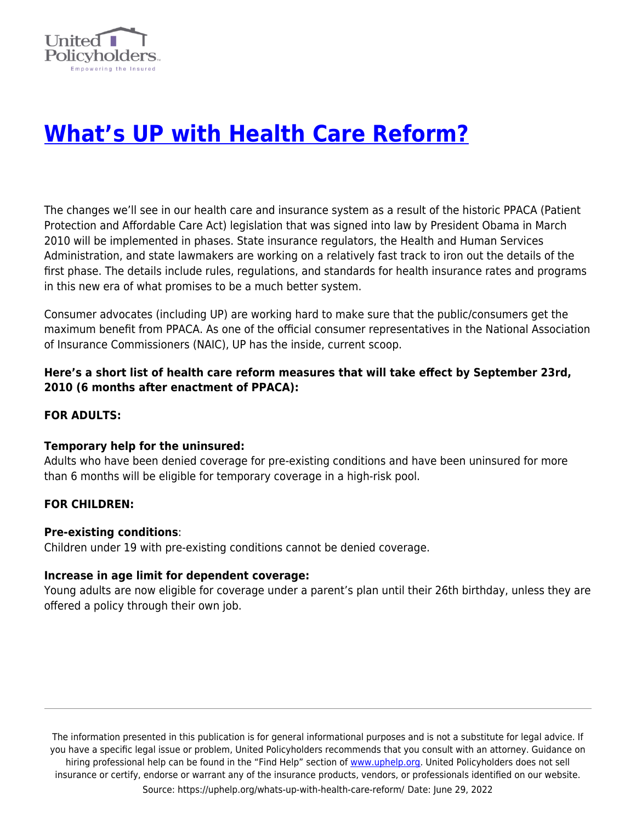

# **[What's UP with Health Care Reform?](https://uphelp.org/whats-up-with-health-care-reform/)**

The changes we'll see in our health care and insurance system as a result of the historic PPACA (Patient Protection and Affordable Care Act) legislation that was signed into law by President Obama in March 2010 will be implemented in phases. State insurance regulators, the Health and Human Services Administration, and state lawmakers are working on a relatively fast track to iron out the details of the first phase. The details include rules, regulations, and standards for health insurance rates and programs in this new era of what promises to be a much better system.

Consumer advocates (including UP) are working hard to make sure that the public/consumers get the maximum benefit from PPACA. As one of the official consumer representatives in the National Association of Insurance Commissioners (NAIC), UP has the inside, current scoop.

# **Here's a short list of health care reform measures that will take effect by September 23rd, 2010 (6 months after enactment of PPACA):**

## **FOR ADULTS:**

### **Temporary help for the uninsured:**

Adults who have been denied coverage for pre-existing conditions and have been uninsured for more than 6 months will be eligible for temporary coverage in a high-risk pool.

### **FOR CHILDREN:**

### **Pre-existing conditions**:

Children under 19 with pre-existing conditions cannot be denied coverage.

### **Increase in age limit for dependent coverage:**

Young adults are now eligible for coverage under a parent's plan until their 26th birthday, unless they are offered a policy through their own job.

The information presented in this publication is for general informational purposes and is not a substitute for legal advice. If you have a specific legal issue or problem, United Policyholders recommends that you consult with an attorney. Guidance on hiring professional help can be found in the "Find Help" section of [www.uphelp.org.](http://www.uphelp.org/) United Policyholders does not sell insurance or certify, endorse or warrant any of the insurance products, vendors, or professionals identified on our website. Source: https://uphelp.org/whats-up-with-health-care-reform/ Date: June 29, 2022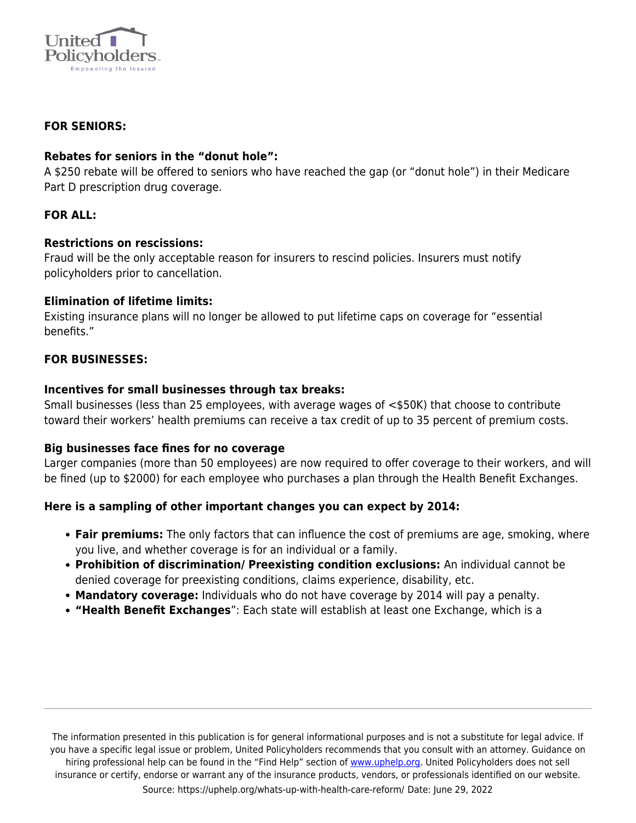

## **FOR SENIORS:**

## **Rebates for seniors in the "donut hole":**

A \$250 rebate will be offered to seniors who have reached the gap (or "donut hole") in their Medicare Part D prescription drug coverage.

# **FOR ALL:**

### **Restrictions on rescissions:**

Fraud will be the only acceptable reason for insurers to rescind policies. Insurers must notify policyholders prior to cancellation.

### **Elimination of lifetime limits:**

Existing insurance plans will no longer be allowed to put lifetime caps on coverage for "essential benefits."

## **FOR BUSINESSES:**

## **Incentives for small businesses through tax breaks:**

Small businesses (less than 25 employees, with average wages of <\$50K) that choose to contribute toward their workers' health premiums can receive a tax credit of up to 35 percent of premium costs.

### **Big businesses face fines for no coverage**

Larger companies (more than 50 employees) are now required to offer coverage to their workers, and will be fined (up to \$2000) for each employee who purchases a plan through the Health Benefit Exchanges.

# **Here is a sampling of other important changes you can expect by 2014:**

- **Fair premiums:** The only factors that can influence the cost of premiums are age, smoking, where you live, and whether coverage is for an individual or a family.
- **Prohibition of discrimination/ Preexisting condition exclusions:** An individual cannot be denied coverage for preexisting conditions, claims experience, disability, etc.
- **Mandatory coverage:** Individuals who do not have coverage by 2014 will pay a penalty.
- **"Health Benefit Exchanges**": Each state will establish at least one Exchange, which is a

The information presented in this publication is for general informational purposes and is not a substitute for legal advice. If you have a specific legal issue or problem, United Policyholders recommends that you consult with an attorney. Guidance on hiring professional help can be found in the "Find Help" section of [www.uphelp.org.](http://www.uphelp.org/) United Policyholders does not sell insurance or certify, endorse or warrant any of the insurance products, vendors, or professionals identified on our website. Source: https://uphelp.org/whats-up-with-health-care-reform/ Date: June 29, 2022